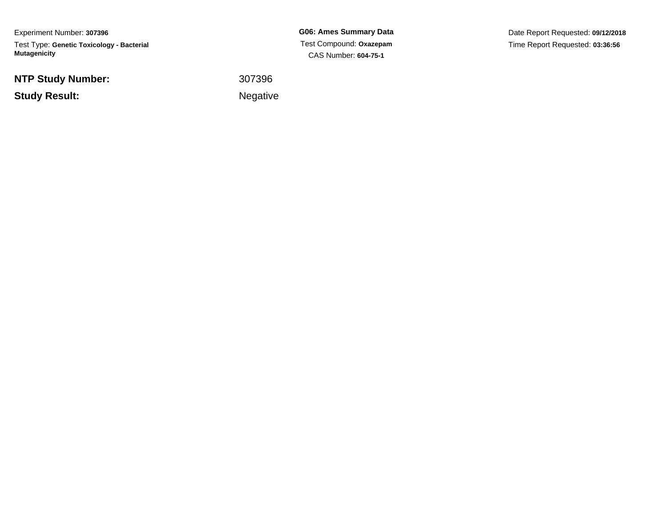Experiment Number: **307396**Test Type: **Genetic Toxicology - Bacterial Mutagenicity**

**NTP Study Number:**

**Study Result:**

**G06: Ames Summary Data** Test Compound: **Oxazepam**CAS Number: **604-75-1**

Date Report Requested: **09/12/2018**Time Report Requested: **03:36:56**

 <sup>307396</sup>Negative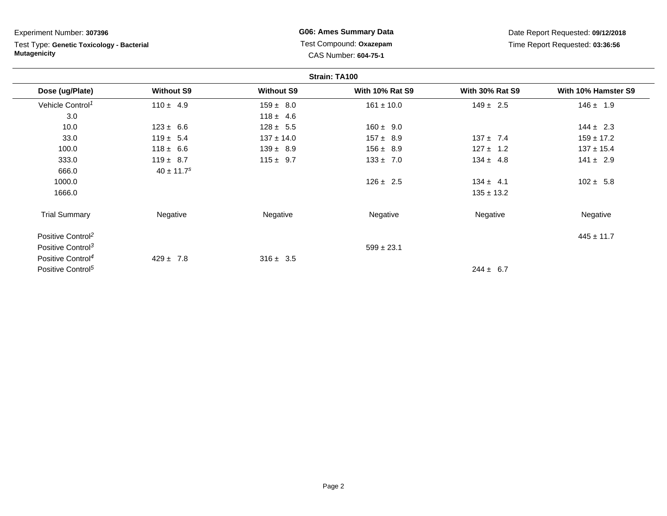Test Type: **Genetic Toxicology - Bacterial Mutagenicity**

**G06: Ames Summary Data** Test Compound: **Oxazepam**CAS Number: **604-75-1**

|                               |                            |                   | Strain: TA100          |                        |                     |
|-------------------------------|----------------------------|-------------------|------------------------|------------------------|---------------------|
| Dose (ug/Plate)               | <b>Without S9</b>          | <b>Without S9</b> | <b>With 10% Rat S9</b> | <b>With 30% Rat S9</b> | With 10% Hamster S9 |
| Vehicle Control <sup>1</sup>  | $110 \pm 4.9$              | $159 \pm 8.0$     | $161 \pm 10.0$         | $149 \pm 2.5$          | $146 \pm 1.9$       |
| 3.0                           |                            | $118 \pm 4.6$     |                        |                        |                     |
| 10.0                          | $123 \pm 6.6$              | $128 \pm 5.5$     | $160 \pm 9.0$          |                        | $144 \pm 2.3$       |
| 33.0                          | $119 \pm 5.4$              | $137 \pm 14.0$    | $157 \pm 8.9$          | $137 \pm 7.4$          | $159 \pm 17.2$      |
| 100.0                         | $118 \pm 6.6$              | $139 \pm 8.9$     | $156 \pm 8.9$          | $127 \pm 1.2$          | $137 \pm 15.4$      |
| 333.0                         | $119 \pm 8.7$              | $115 \pm 9.7$     | $133 \pm 7.0$          | $134 \pm 4.8$          | $141 \pm 2.9$       |
| 666.0                         | $40 \pm 11.7$ <sup>s</sup> |                   |                        |                        |                     |
| 1000.0                        |                            |                   | $126 \pm 2.5$          | $134 \pm 4.1$          | $102 \pm 5.8$       |
| 1666.0                        |                            |                   |                        | $135 \pm 13.2$         |                     |
| <b>Trial Summary</b>          | Negative                   | Negative          | Negative               | Negative               | Negative            |
| Positive Control <sup>2</sup> |                            |                   |                        |                        | $445 \pm 11.7$      |
| Positive Control <sup>3</sup> |                            |                   | $599 \pm 23.1$         |                        |                     |
| Positive Control <sup>4</sup> | $429 \pm 7.8$              | $316 \pm 3.5$     |                        |                        |                     |
| Positive Control <sup>5</sup> |                            |                   |                        | $244 \pm 6.7$          |                     |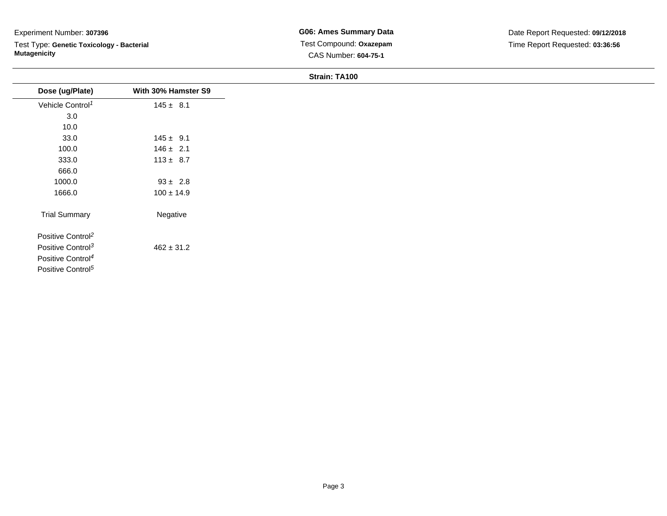Test Type: **Genetic Toxicology - Bacterial Mutagenicity**

| Dose (ug/Plate)               | With 30% Hamster S9 |
|-------------------------------|---------------------|
| Vehicle Control <sup>1</sup>  | $145 \pm 8.1$       |
| 3.0                           |                     |
| 10.0                          |                     |
| 33.0                          | $145 \pm 9.1$       |
| 100.0                         | $146 \pm 2.1$       |
| 333.0                         | $113 \pm 8.7$       |
| 666.0                         |                     |
| 1000.0                        | $93 \pm 2.8$        |
| 1666.0                        | $100 \pm 14.9$      |
| <b>Trial Summary</b>          | Negative            |
| Positive Control <sup>2</sup> |                     |
| Positive Control <sup>3</sup> | $462 \pm 31.2$      |
| Positive Control <sup>4</sup> |                     |
| Positive Control <sup>5</sup> |                     |
|                               |                     |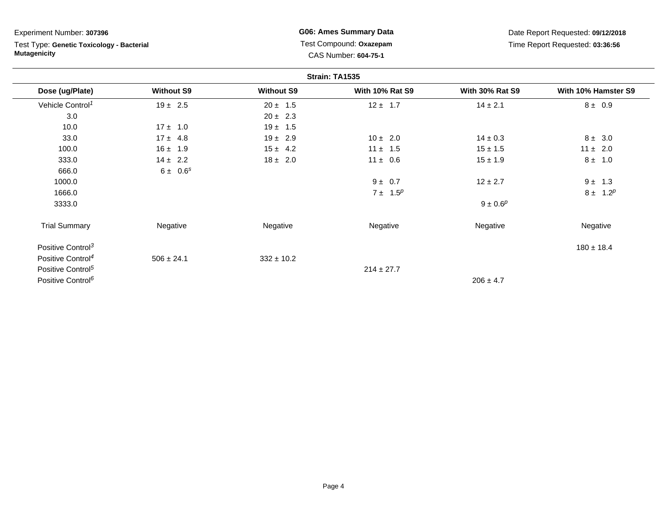Test Type: **Genetic Toxicology - Bacterial Mutagenicity**

**G06: Ames Summary Data** Test Compound: **Oxazepam**CAS Number: **604-75-1**

|                               |                   |                   | Strain: TA1535         |                        |                     |
|-------------------------------|-------------------|-------------------|------------------------|------------------------|---------------------|
| Dose (ug/Plate)               | <b>Without S9</b> | <b>Without S9</b> | <b>With 10% Rat S9</b> | <b>With 30% Rat S9</b> | With 10% Hamster S9 |
| Vehicle Control <sup>1</sup>  | $19 \pm 2.5$      | $20 \pm 1.5$      | $12 \pm 1.7$           | $14 \pm 2.1$           | $8 \pm 0.9$         |
| 3.0                           |                   | $20 \pm 2.3$      |                        |                        |                     |
| 10.0                          | $17 \pm 1.0$      | $19 \pm 1.5$      |                        |                        |                     |
| 33.0                          | $17 \pm 4.8$      | $19 \pm 2.9$      | $10 \pm 2.0$           | $14 \pm 0.3$           | $8 \pm 3.0$         |
| 100.0                         | $16 \pm 1.9$      | $15 \pm 4.2$      | $11 \pm 1.5$           | $15 \pm 1.5$           | $11 \pm 2.0$        |
| 333.0                         | $14 \pm 2.2$      | $18 \pm 2.0$      | $11 \pm 0.6$           | $15 \pm 1.9$           | $8 \pm 1.0$         |
| 666.0                         | $6 \pm 0.6^s$     |                   |                        |                        |                     |
| 1000.0                        |                   |                   | $9 \pm 0.7$            | $12 \pm 2.7$           | $9 \pm 1.3$         |
| 1666.0                        |                   |                   | $7 \pm 1.5^p$          |                        | $8 \pm 1.2^p$       |
| 3333.0                        |                   |                   |                        | $9 \pm 0.6^p$          |                     |
| <b>Trial Summary</b>          | Negative          | Negative          | Negative               | Negative               | Negative            |
| Positive Control <sup>3</sup> |                   |                   |                        |                        | $180 \pm 18.4$      |
| Positive Control <sup>4</sup> | $506 \pm 24.1$    | $332 \pm 10.2$    |                        |                        |                     |
| Positive Control <sup>5</sup> |                   |                   | $214 \pm 27.7$         |                        |                     |
| Positive Control <sup>6</sup> |                   |                   |                        | $206 \pm 4.7$          |                     |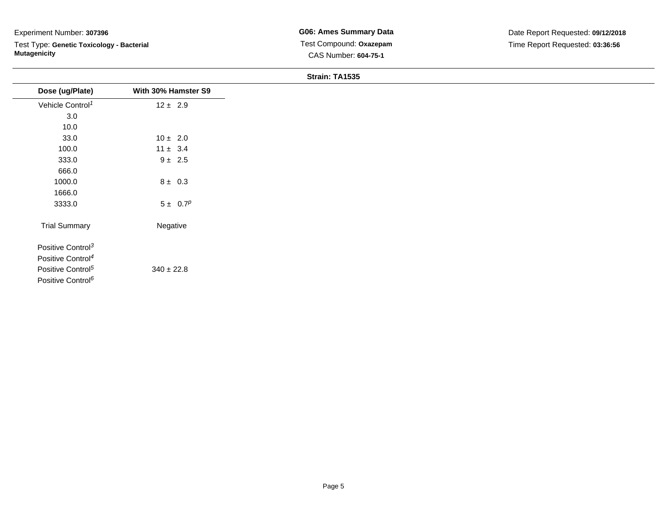Test Type: **Genetic Toxicology - Bacterial Mutagenicity**

**G06: Ames Summary Data** Test Compound: **Oxazepam**CAS Number: **604-75-1**

| Dose (ug/Plate)               | With 30% Hamster S9 |
|-------------------------------|---------------------|
| Vehicle Control <sup>1</sup>  | $12 \pm 2.9$        |
| $3.0\,$                       |                     |
| 10.0                          |                     |
| 33.0                          | $10 \pm 2.0$        |
| 100.0                         | $11 \pm 3.4$        |
| 333.0                         | $9 \pm 2.5$         |
| 666.0                         |                     |
| 1000.0                        | $8 \pm 0.3$         |
| 1666.0                        |                     |
| 3333.0                        | $5 \pm 0.7^p$       |
| <b>Trial Summary</b>          | Negative            |
| Positive Control <sup>3</sup> |                     |
| Positive Control <sup>4</sup> |                     |
| Positive Control <sup>5</sup> | $340 \pm 22.8$      |
| Positive Control <sup>6</sup> |                     |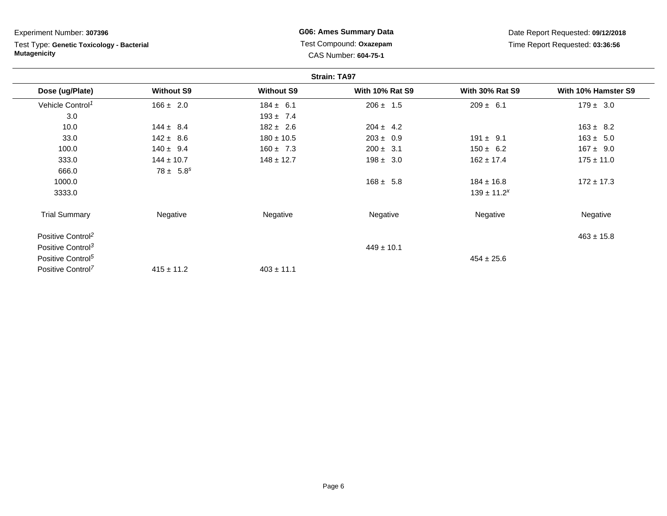Test Type: **Genetic Toxicology - Bacterial Mutagenicity**

**G06: Ames Summary Data** Test Compound: **Oxazepam**CAS Number: **604-75-1**

|                               |                   |                   | <b>Strain: TA97</b>    |                        |                     |
|-------------------------------|-------------------|-------------------|------------------------|------------------------|---------------------|
| Dose (ug/Plate)               | <b>Without S9</b> | <b>Without S9</b> | <b>With 10% Rat S9</b> | <b>With 30% Rat S9</b> | With 10% Hamster S9 |
| Vehicle Control <sup>1</sup>  | $166 \pm 2.0$     | $184 \pm 6.1$     | $206 \pm 1.5$          | $209 \pm 6.1$          | $179 \pm 3.0$       |
| 3.0                           |                   | $193 \pm 7.4$     |                        |                        |                     |
| 10.0                          | $144 \pm 8.4$     | $182 \pm 2.6$     | $204 \pm 4.2$          |                        | $163 \pm 8.2$       |
| 33.0                          | $142 \pm 8.6$     | $180 \pm 10.5$    | $203 \pm 0.9$          | $191 \pm 9.1$          | $163 \pm 5.0$       |
| 100.0                         | $140 \pm 9.4$     | $160 \pm 7.3$     | $200 \pm 3.1$          | $150 \pm 6.2$          | $167 \pm 9.0$       |
| 333.0                         | $144 \pm 10.7$    | $148 \pm 12.7$    | $198 \pm 3.0$          | $162 \pm 17.4$         | $175 \pm 11.0$      |
| 666.0                         | $78 \pm 5.8^s$    |                   |                        |                        |                     |
| 1000.0                        |                   |                   | $168 \pm 5.8$          | $184 \pm 16.8$         | $172 \pm 17.3$      |
| 3333.0                        |                   |                   |                        | $139 \pm 11.2^x$       |                     |
| <b>Trial Summary</b>          | Negative          | Negative          | Negative               | Negative               | Negative            |
| Positive Control <sup>2</sup> |                   |                   |                        |                        | $463 \pm 15.8$      |
| Positive Control <sup>3</sup> |                   |                   | $449 \pm 10.1$         |                        |                     |
| Positive Control <sup>5</sup> |                   |                   |                        | $454 \pm 25.6$         |                     |
| Positive Control <sup>7</sup> | $415 \pm 11.2$    | $403 \pm 11.1$    |                        |                        |                     |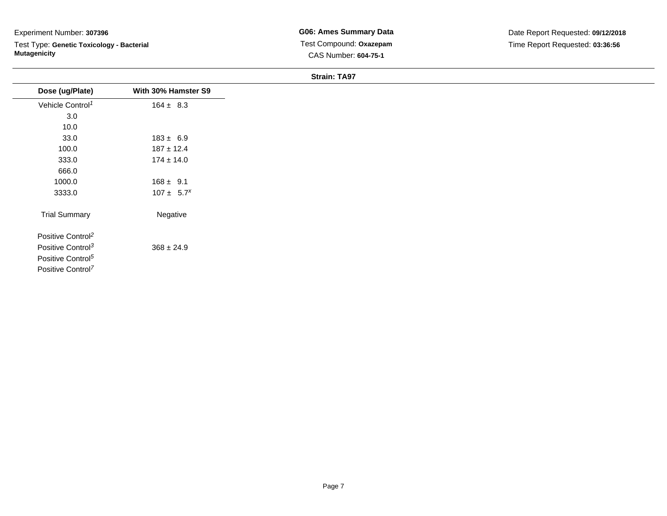Test Type: **Genetic Toxicology - Bacterial Mutagenicity**

**G06: Ames Summary Data** Test Compound: **Oxazepam**CAS Number: **604-75-1**

| With 30% Hamster S9 |
|---------------------|
| $164 \pm 8.3$       |
|                     |
|                     |
| $183 \pm 6.9$       |
| $187 \pm 12.4$      |
| $174 \pm 14.0$      |
|                     |
| $168 \pm 9.1$       |
| $107 \pm 5.7^x$     |
| Negative            |
|                     |
| $368 \pm 24.9$      |
|                     |
|                     |
|                     |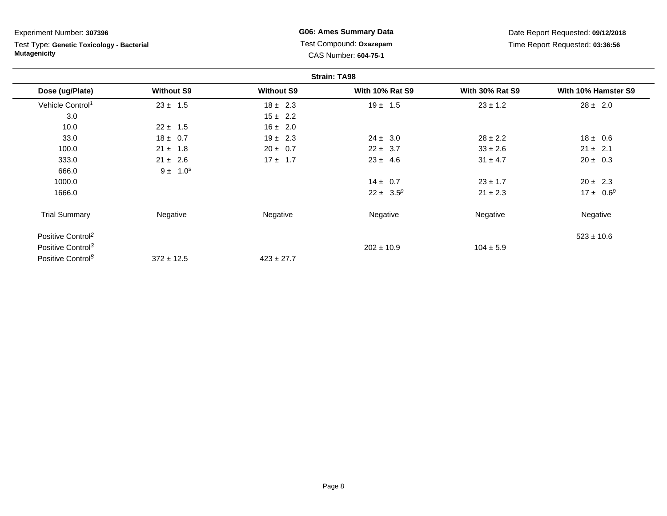Test Type: **Genetic Toxicology - Bacterial Mutagenicity**

**G06: Ames Summary Data** Test Compound: **Oxazepam**CAS Number: **604-75-1**

|                               |                   |                   | <b>Strain: TA98</b>    |                        |                     |
|-------------------------------|-------------------|-------------------|------------------------|------------------------|---------------------|
| Dose (ug/Plate)               | <b>Without S9</b> | <b>Without S9</b> | <b>With 10% Rat S9</b> | <b>With 30% Rat S9</b> | With 10% Hamster S9 |
| Vehicle Control <sup>1</sup>  | $23 \pm 1.5$      | $18 \pm 2.3$      | $19 \pm 1.5$           | $23 \pm 1.2$           | $28 \pm 2.0$        |
| 3.0                           |                   | $15 \pm 2.2$      |                        |                        |                     |
| 10.0                          | $22 \pm 1.5$      | $16 \pm 2.0$      |                        |                        |                     |
| 33.0                          | $18 \pm 0.7$      | $19 \pm 2.3$      | $24 \pm 3.0$           | $28 \pm 2.2$           | $18 \pm 0.6$        |
| 100.0                         | $21 \pm 1.8$      | $20 \pm 0.7$      | $22 \pm 3.7$           | $33 \pm 2.6$           | $21 \pm 2.1$        |
| 333.0                         | $21 \pm 2.6$      | $17 \pm 1.7$      | $23 \pm 4.6$           | $31 \pm 4.7$           | $20 \pm 0.3$        |
| 666.0                         | $9 \pm 1.0^s$     |                   |                        |                        |                     |
| 1000.0                        |                   |                   | $14 \pm 0.7$           | $23 \pm 1.7$           | $20 \pm 2.3$        |
| 1666.0                        |                   |                   | $22 \pm 3.5^p$         | $21 \pm 2.3$           | $17 \pm 0.6^p$      |
| <b>Trial Summary</b>          | Negative          | Negative          | Negative               | Negative               | Negative            |
| Positive Control <sup>2</sup> |                   |                   |                        |                        | $523 \pm 10.6$      |
| Positive Control <sup>3</sup> |                   |                   | $202 \pm 10.9$         | $104 \pm 5.9$          |                     |
| Positive Control <sup>8</sup> | $372 \pm 12.5$    | $423 \pm 27.7$    |                        |                        |                     |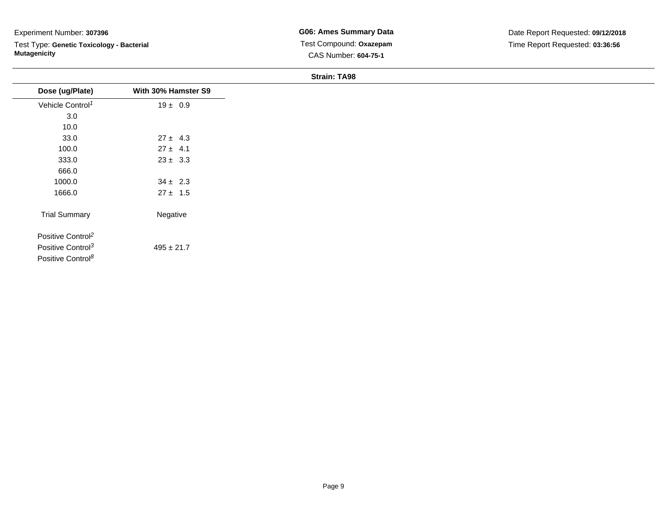Test Type: **Genetic Toxicology - Bacterial Mutagenicity**

**G06: Ames Summary Data** Test Compound: **Oxazepam**CAS Number: **604-75-1**

| Dose (ug/Plate)               | With 30% Hamster S9 |
|-------------------------------|---------------------|
| Vehicle Control <sup>1</sup>  | $19 \pm 0.9$        |
| 3.0                           |                     |
| 10.0                          |                     |
| 33.0                          | $27 \pm 4.3$        |
| 100.0                         | $27 \pm 4.1$        |
| 333.0                         | $23 \pm 3.3$        |
| 666.0                         |                     |
| 1000.0                        | $34 \pm 2.3$        |
| 1666.0                        | $27 \pm 1.5$        |
| <b>Trial Summary</b>          | Negative            |
| Positive Control <sup>2</sup> |                     |
| Positive Control <sup>3</sup> | $495 \pm 21.7$      |
| Positive Control <sup>8</sup> |                     |
|                               |                     |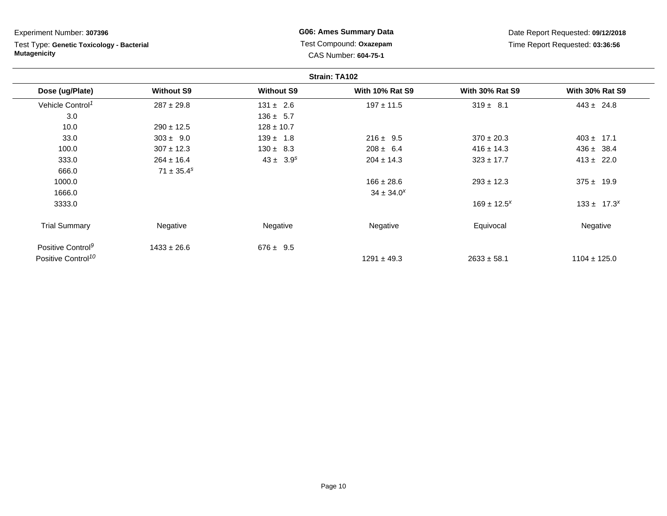Test Type: **Genetic Toxicology - Bacterial Mutagenicity**

**G06: Ames Summary Data** Test Compound: **Oxazepam**CAS Number: **604-75-1**

|                                |                   |                   | Strain: TA102          |                        |                        |
|--------------------------------|-------------------|-------------------|------------------------|------------------------|------------------------|
| Dose (ug/Plate)                | <b>Without S9</b> | <b>Without S9</b> | <b>With 10% Rat S9</b> | <b>With 30% Rat S9</b> | <b>With 30% Rat S9</b> |
| Vehicle Control <sup>1</sup>   | $287 \pm 29.8$    | $131 \pm 2.6$     | $197 \pm 11.5$         | $319 \pm 8.1$          | $443 \pm 24.8$         |
| 3.0                            |                   | $136 \pm 5.7$     |                        |                        |                        |
| 10.0                           | $290 \pm 12.5$    | $128 \pm 10.7$    |                        |                        |                        |
| 33.0                           | $303 \pm 9.0$     | $139 \pm 1.8$     | $216 \pm 9.5$          | $370 \pm 20.3$         | $403 \pm 17.1$         |
| 100.0                          | $307 \pm 12.3$    | $130 \pm 8.3$     | $208 \pm 6.4$          | $416 \pm 14.3$         | $436 \pm 38.4$         |
| 333.0                          | $264 \pm 16.4$    | $43 \pm 3.9^s$    | $204 \pm 14.3$         | $323 \pm 17.7$         | $413 \pm 22.0$         |
| 666.0                          | $71 \pm 35.4^s$   |                   |                        |                        |                        |
| 1000.0                         |                   |                   | $166 \pm 28.6$         | $293 \pm 12.3$         | $375 \pm 19.9$         |
| 1666.0                         |                   |                   | $34 \pm 34.0^x$        |                        |                        |
| 3333.0                         |                   |                   |                        | $169 \pm 12.5^{x}$     | $133 \pm 17.3^{x}$     |
| <b>Trial Summary</b>           | Negative          | Negative          | Negative               | Equivocal              | Negative               |
| Positive Control <sup>9</sup>  | $1433 \pm 26.6$   | $676 \pm 9.5$     |                        |                        |                        |
| Positive Control <sup>10</sup> |                   |                   | $1291 \pm 49.3$        | $2633 \pm 58.1$        | $1104 \pm 125.0$       |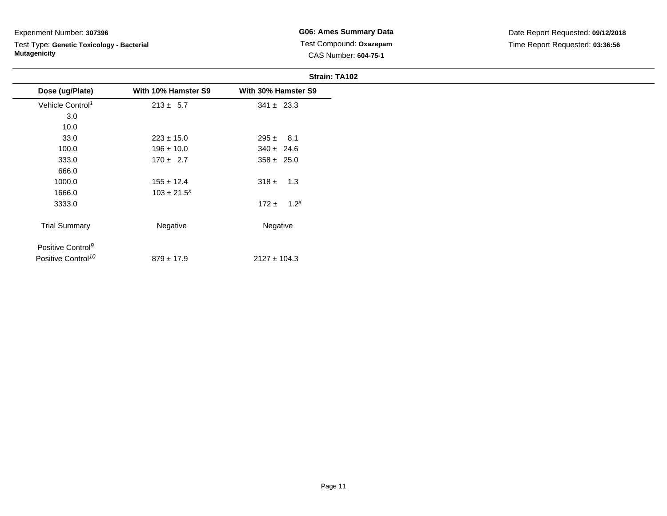# Test Type: **Genetic Toxicology - Bacterial Mutagenicity**

**G06: Ames Summary Data** Test Compound: **Oxazepam**CAS Number: **604-75-1**

|                               |                     | Strain: TA102       |
|-------------------------------|---------------------|---------------------|
| Dose (ug/Plate)               | With 10% Hamster S9 | With 30% Hamster S9 |
| Vehicle Control <sup>1</sup>  | $213 \pm 5.7$       | $341 \pm 23.3$      |
| 3.0                           |                     |                     |
| 10.0                          |                     |                     |
| 33.0                          | $223 \pm 15.0$      | $295 \pm 8.1$       |
| 100.0                         | $196 \pm 10.0$      | $340 \pm 24.6$      |
| 333.0                         | $170 \pm 2.7$       | $358 \pm 25.0$      |
| 666.0                         |                     |                     |
| 1000.0                        | $155 \pm 12.4$      | $318 \pm 1.3$       |
| 1666.0                        | $103 \pm 21.5^{x}$  |                     |
| 3333.0                        |                     | $172 \pm 1.2^x$     |
| <b>Trial Summary</b>          | Negative            | Negative            |
| Positive Control <sup>9</sup> |                     |                     |

Positive Control<sup>10</sup>  $879 \pm 17.9$  $2127 \pm 104.3$